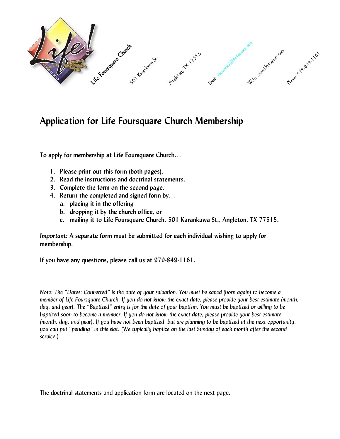

## **Application for Life Foursquare Church Membership**

**To apply for membership at Life Foursquare Church…** 

- **1. Please print out this form (both pages),**
- **2. Read the instructions and doctrinal statements.**
- **3. Complete the form on the second page.**
- **4. Return the completed and signed form by…** 
	- **a. placing it in the offering**
	- **b. dropping it by the church office, or**
	- **c. mailing it to Life Foursquare Church, 501 Karankawa St., Angleton, TX 77515.**

*Important:* **A separate form must be submitted for each individual wishing to apply for membership.** 

**If you have any questions, please call us at 979-849-1161.** 

*Note: The "Dates: Converted" is the date of your salvation. You must be saved (born again) to become a member of Life Foursquare Church. If you do not know the exact date, please provide your best estimate (month, day, and year). The "Baptized" entry is for the date of your baptism. You must be baptized or willing to be baptized soon to become a member. If you do not know the exact date, please provide your best estimate (month, day, and year). If you have not been baptized, but are planning to be baptized at the next opportunity, you can put "pending" in this slot. (We typically baptize on the last Sunday of each month after the second service.)* 

The doctrinal statements and application form are located on the next page.